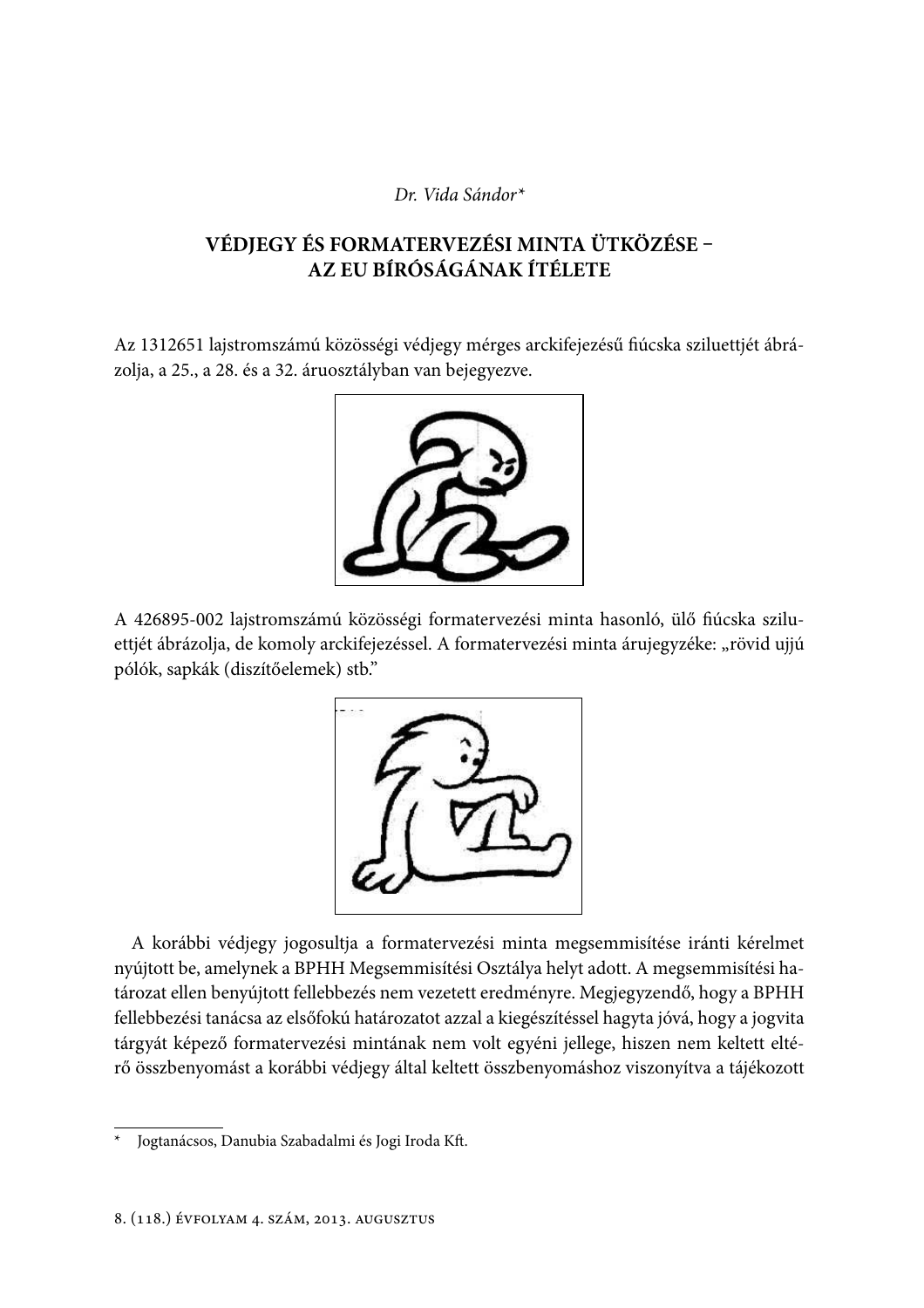## Dr. Vida Sándor\*

# VÉDJEGY ÉS FORMATERVEZÉSI MINTA ÜTKÖZÉSE -AZ EU BÍRÓSÁGÁNAK ÍTÉLETE

Az 1312651 lajstromszámú közösségi védjegy mérges arckifejezésű fiúcska sziluettjét ábrázolja, a 25., a 28. és a 32. áruosztályban van bejegyezve.



A 426895-002 lajstromszámú közösségi formatervezési minta hasonló, ülő fiúcska sziluettjét ábrázolja, de komoly arckifejezéssel. A formatervezési minta árujegyzéke: "rövid ujjú pólók, sapkák (diszítőelemek) stb."



A korábbi védjegy jogosultja a formatervezési minta megsemmisítése iránti kérelmet nyújtott be, amelynek a BPHH Megsemmisítési Osztálya helyt adott. A megsemmisítési határozat ellen benyújtott fellebbezés nem vezetett eredményre. Megjegyzendő, hogy a BPHH fellebbezési tanácsa az elsőfokú határozatot azzal a kiegészítéssel hagyta jóvá, hogy a jogvita tárgyát képező formatervezési mintának nem volt egyéni jellege, hiszen nem keltett eltérő összbenyomást a korábbi védjegy által keltett összbenyomáshoz viszonyítva a tájékozott

Jogtanácsos, Danubia Szabadalmi és Jogi Iroda Kft.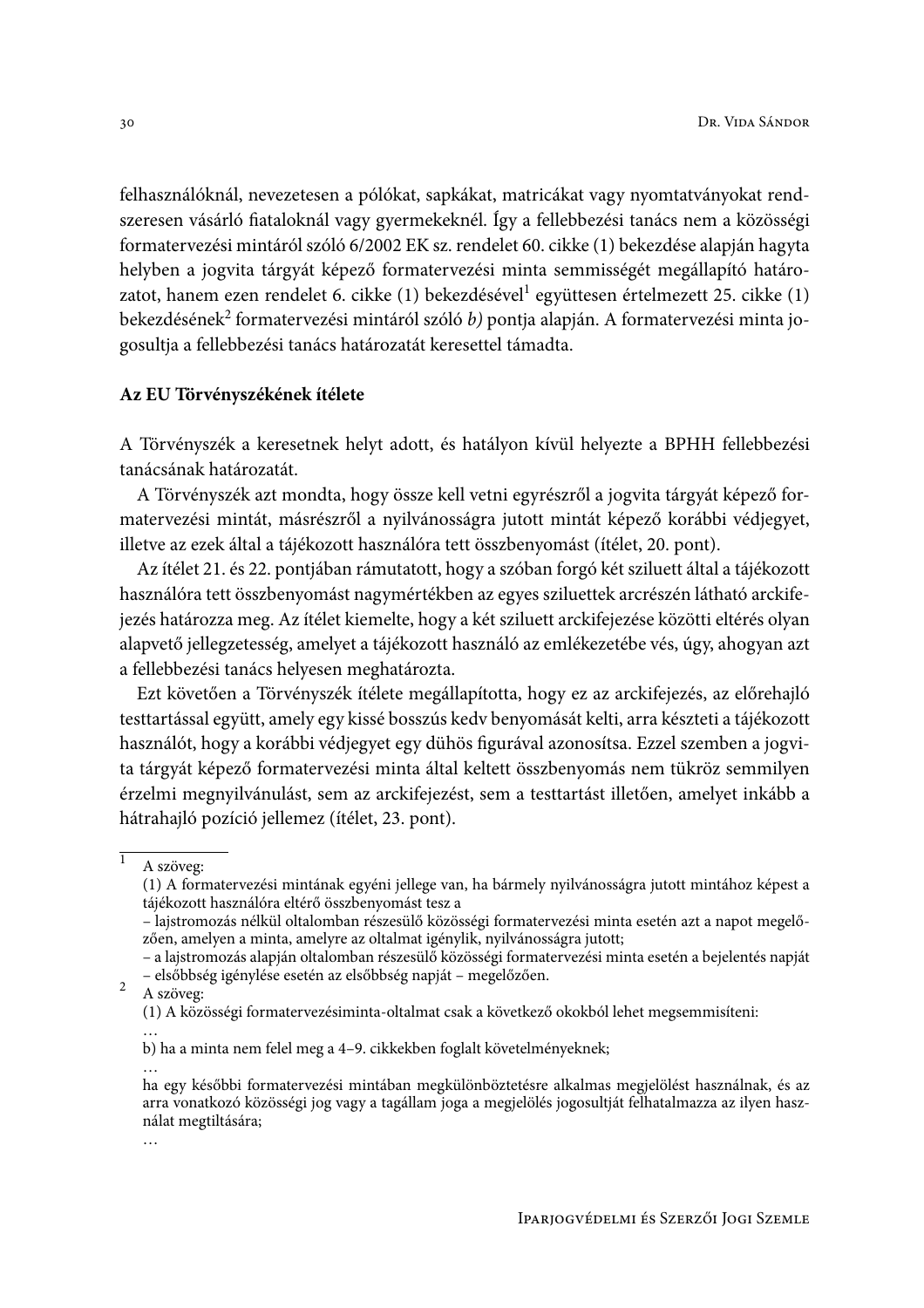felhasználóknál, nevezetesen a pólókat, sapkákat, matricákat vagy nyomtatványokat rendszeresen vásárló fiataloknál vagy gyermekeknél. Így a fellebbezési tanács nem a közösségi formatervezési mintáról szóló 6/2002 EK sz. rendelet 60. cikke (1) bekezdése alapján hagyta helyben a jogvita tárgyát képező formatervezési minta semmisségét megállapító határozatot, hanem ezen rendelet 6. cikke (1) bekezdésével<sup>1</sup> együttesen értelmezett 25. cikke (1) bekezdésének<sup>2</sup> formatervezési mintáról szóló b) pontja alapján. A formatervezési minta jogosultia a fellebbezési tanács határozatát keresettel támadta.

## Az EU Törvényszékének ítélete

A Törvényszék a keresetnek helyt adott, és hatályon kívül helyezte a BPHH fellebbezési tanácsának határozatát.

A Törvényszék azt mondta, hogy össze kell vetni egyrészről a jogyita tárgyát képező formatervezési mintát, másrészről a nyilvánosságra jutott mintát képező korábbi védjegyet, illetve az ezek által a tájékozott használóra tett összbenyomást (ítélet, 20. pont).

Az ítélet 21. és 22. pontjában rámutatott, hogy a szóban forgó két sziluett által a tájékozott használóra tett összbenyomást nagymértékben az egyes sziluettek arcrészén látható arckifejezés határozza meg. Az ítélet kiemelte, hogy a két sziluett arckifejezése közötti eltérés olyan alapvető jellegzetesség, amelyet a tájékozott használó az emlékezetébe vés, úgy, ahogyan azt a fellebbezési tanács helyesen meghatározta.

Ezt követően a Törvényszék ítélete megállapította, hogy ez az arckifejezés, az előrehajló testtartással együtt, amely egy kissé bosszús kedv benyomását kelti, arra készteti a tájékozott használót, hogy a korábbi védjegyet egy dühös figurával azonosítsa. Ezzel szemben a jogyita tárgyát képező formatervezési minta által keltett összbenyomás nem tükröz semmilyen érzelmi megnyilvánulást, sem az arckifejezést, sem a testtartást illetően, amelyet inkább a hátrahajló pozíció jellemez (ítélet, 23. pont).

 $\overline{1}$ 

 $\overline{2}$ A szöveg:

A szöveg:

<sup>(1)</sup> A formatervezési mintának egyéni jellege van, ha bármely nyilvánosságra jutott mintához képest a tájékozott használóra eltérő összbenyomást tesz a

<sup>-</sup> lajstromozás nélkül oltalomban részesülő közösségi formatervezési minta esetén azt a napot megelőzően, amelyen a minta, amelyre az oltalmat igénylik, nyilvánosságra jutott;

<sup>-</sup> a lajstromozás alapján oltalomban részesülő közösségi formatervezési minta esetén a bejelentés napját - elsőbbség igénylése esetén az elsőbbség napját - megelőzően.

<sup>(1)</sup> A közösségi formatervezésiminta-oltalmat csak a következő okokból lehet megsemmisíteni:

b) ha a minta nem felel meg a 4-9. cikkekben foglalt követelményeknek;

ha egy későbbi formatervezési mintában megkülönböztetésre alkalmas megjelölést használnak, és az arra vonatkozó közösségi jog vagy a tagállam joga a megjelölés jogosultját felhatalmazza az ilyen használat megtiltására;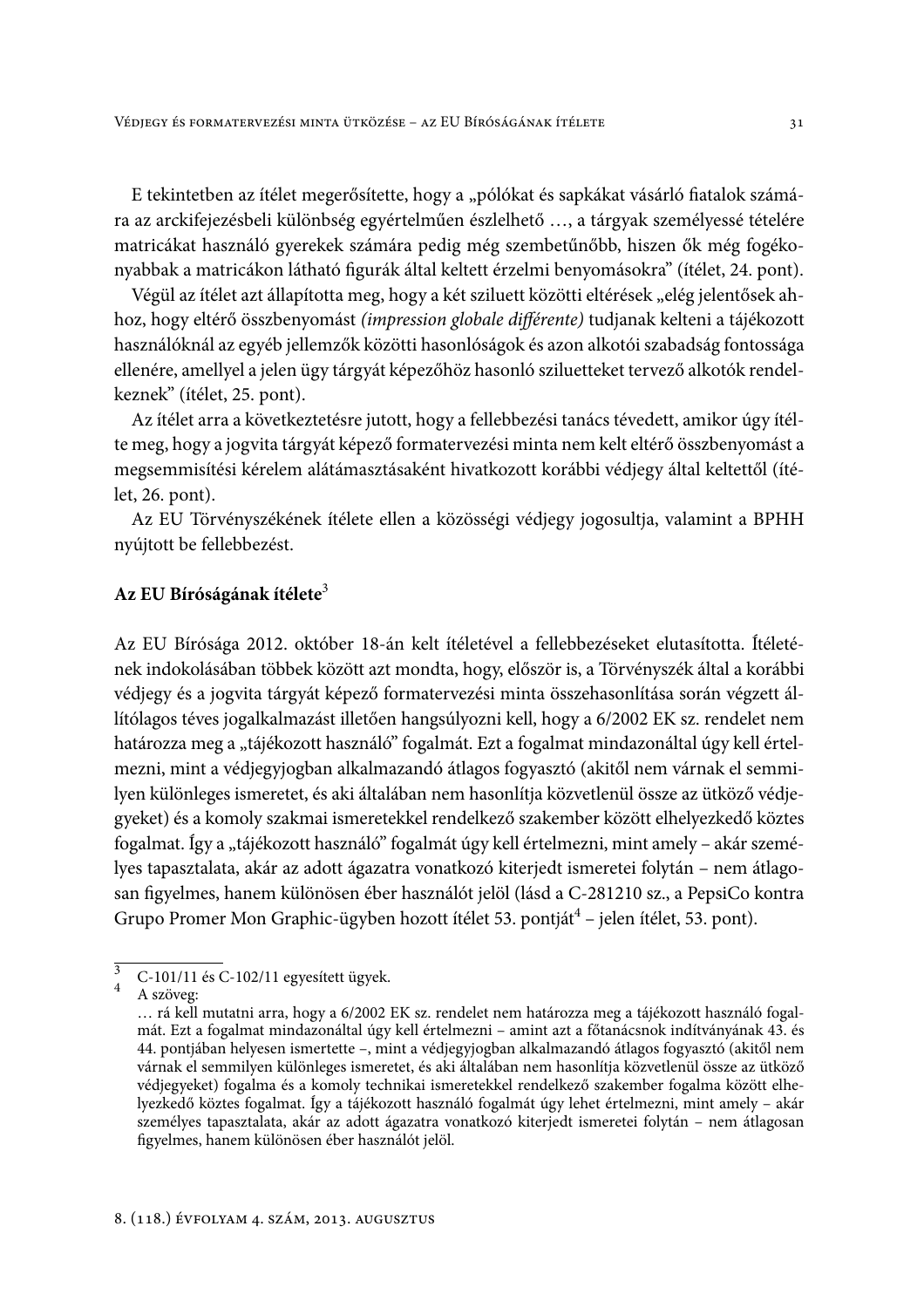E tekintetben az ítélet megerősítette, hogy a "pólókat és sapkákat vásárló fiatalok számára az arckifejezésbeli különbség egyértelműen észlelhető ..., a tárgyak személyessé tételére matricákat használó gyerekek számára pedig még szembetűnőbb, hiszen ők még fogékonyabbak a matricákon látható figurák által keltett érzelmi benyomásokra" (ítélet, 24. pont).

Végül az ítélet azt állapította meg, hogy a két sziluett közötti eltérések "elég jelentősek ahhoz, hogy eltérő összbenyomást (impression globale différente) tudjanak kelteni a tájékozott használóknál az egyéb jellemzők közötti hasonlóságok és azon alkotói szabadság fontossága ellenére, amellyel a jelen ügy tárgyát képezőhöz hasonló sziluetteket tervező alkotók rendelkeznek" (ítélet, 25. pont).

Az ítélet arra a következtetésre jutott, hogy a fellebbezési tanács tévedett, amikor úgy ítélte meg, hogy a jogvita tárgyát képező formatervezési minta nem kelt eltérő összbenyomást a megsemmisítési kérelem alátámasztásaként hivatkozott korábbi védjegy által keltettől (ítélet,  $26.$  pont).

Az EU Törvényszékének ítélete ellen a közösségi védjegy jogosultja, valamint a BPHH nyújtott be fellebbezést.

#### Az EU Bíróságának ítélete<sup>3</sup>

Az EU Bírósága 2012. október 18-án kelt ítéletével a fellebbezéseket elutasította. Ítéletének indokolásában többek között azt mondta, hogy, először is, a Törvényszék által a korábbi védjegy és a jogvita tárgyát képező formatervezési minta összehasonlítása során végzett állítólagos téves jogalkalmazást illetően hangsúlyozni kell, hogy a 6/2002 EK sz. rendelet nem határozza meg a "tájékozott használó" fogalmát. Ezt a fogalmat mindazonáltal úgy kell értelmezni, mint a védjegyjogban alkalmazandó átlagos fogyasztó (akitől nem várnak el semmilyen különleges ismeretet, és aki általában nem hasonlítja közvetlenül össze az ütköző védjegyeket) és a komoly szakmai ismeretekkel rendelkező szakember között elhelyezkedő köztes fogalmat. Így a "tájékozott használó" fogalmát úgy kell értelmezni, mint amely – akár személyes tapasztalata, akár az adott ágazatra vonatkozó kiterjedt ismeretei folytán – nem átlagosan figyelmes, hanem különösen éber használót jelöl (lásd a C-281210 sz., a PepsiCo kontra Grupo Promer Mon Graphic-ügyben hozott ítélet 53. pontját<sup>4</sup> – jelen ítélet, 53. pont).

 $\frac{3}{3}$  C-101/11 és C-102/11 egyesített ügyek.

 $4$  A szöveg:

<sup>...</sup> rá kell mutatni arra, hogy a 6/2002 EK sz. rendelet nem határozza meg a tájékozott használó fogalmát. Ezt a fogalmat mindazonáltal úgy kell értelmezni – amint azt a főtanácsnok indítványának 43. és 44. pontjában helyesen ismertette –, mint a védjegyjogban alkalmazandó átlagos fogyasztó (akitől nem várnak el semmilyen különleges ismeretet, és aki általában nem hasonlítja közvetlenül össze az ütköző védjegyeket) fogalma és a komoly technikai ismeretekkel rendelkező szakember fogalma között elhelyezkedő köztes fogalmat. Így a tájékozott használó fogalmát úgy lehet értelmezni, mint amely - akár személyes tapasztalata, akár az adott ágazatra vonatkozó kiterjedt ismeretei folytán - nem átlagosan figyelmes, hanem különösen éber használót jelöl.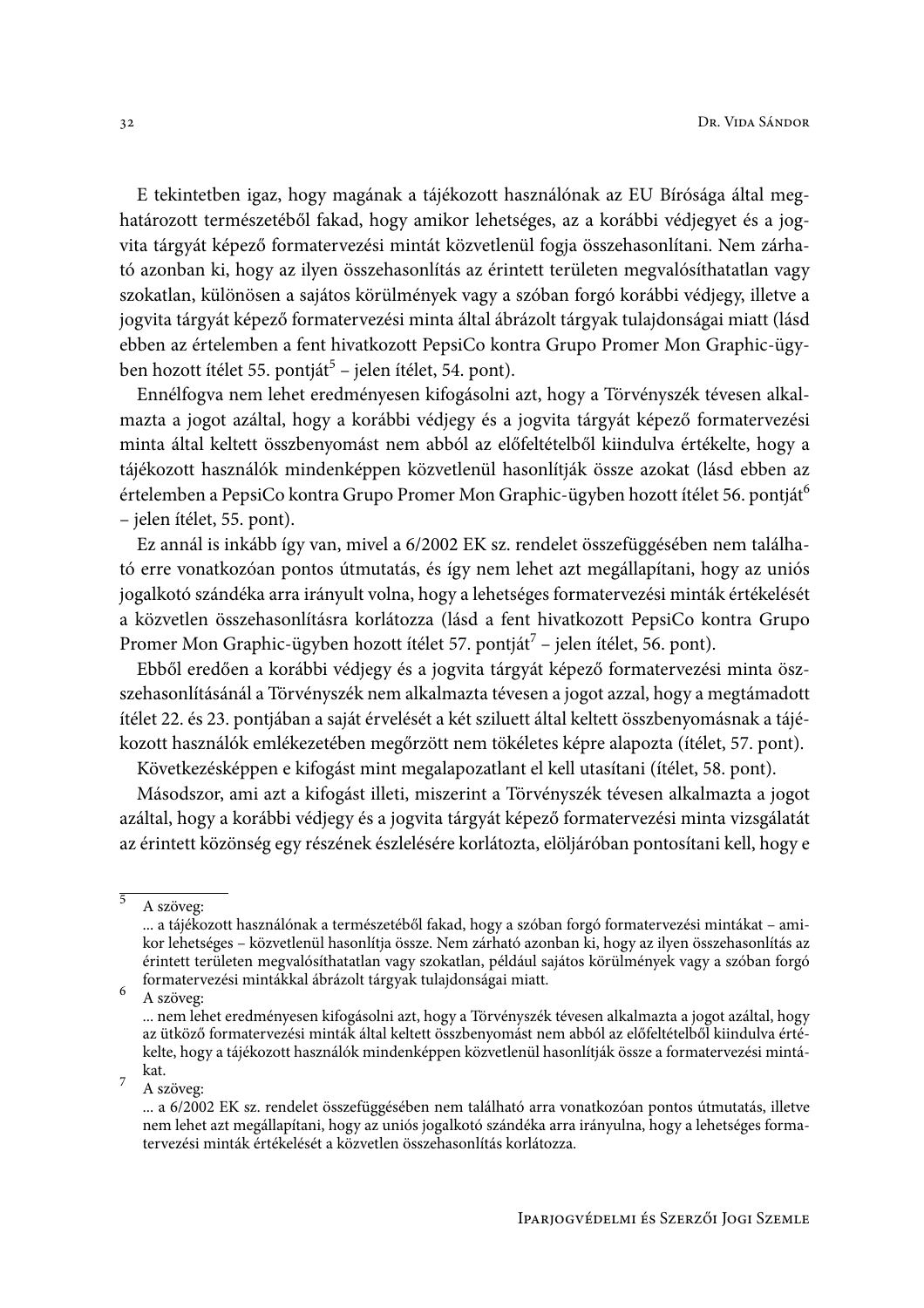E tekintetben igaz, hogy magának a tájékozott használónak az EU Bírósága által meghatározott természetéből fakad, hogy amikor lehetséges, az a korábbi védjegyet és a jogvita tárgyát képező formatervezési mintát közvetlenül fogja összehasonlítani. Nem zárható azonban ki, hogy az ilyen összehasonlítás az érintett területen megvalósíthatatlan vagy szokatlan, különösen a sajátos körülmények vagy a szóban forgó korábbi védjegy, illetve a jogvita tárgyát képező formatervezési minta által ábrázolt tárgyak tulajdonságai miatt (lásd ebben az értelemben a fent hivatkozott PepsiCo kontra Grupo Promer Mon Graphic-ügyben hozott ítélet 55. pontját<sup>5</sup> – jelen ítélet, 54. pont).

Ennélfogva nem lehet eredményesen kifogásolni azt, hogy a Törvényszék tévesen alkalmazta a jogot azáltal, hogy a korábbi védjegy és a jogvita tárgyát képező formatervezési minta által keltett összbenyomást nem abból az előfeltételből kiindulva értékelte, hogy a tájékozott használók mindenképpen közvetlenül hasonlítják össze azokat (lásd ebben az értelemben a PepsiCo kontra Grupo Promer Mon Graphic-ügyben hozott ítélet 56. pontját<sup>6</sup> - jelen ítélet, 55. pont).

Ez annál is inkább így van, mivel a 6/2002 EK sz. rendelet összefüggésében nem található erre vonatkozóan pontos útmutatás, és így nem lehet azt megállapítani, hogy az uniós jogalkotó szándéka arra irányult volna, hogy a lehetséges formatervezési minták értékelését a közvetlen összehasonlításra korlátozza (lásd a fent hivatkozott PepsiCo kontra Grupo Promer Mon Graphic-ügyben hozott ítélet 57. pontját<sup>7</sup> – jelen ítélet, 56. pont).

Ebből eredően a korábbi védjegy és a jogvita tárgyát képező formatervezési minta öszszehasonlításánál a Törvényszék nem alkalmazta tévesen a jogot azzal, hogy a megtámadott ítélet 22. és 23. pontjában a saját érvelését a két sziluett által keltett összbenyomásnak a tájékozott használók emlékezetében megőrzött nem tökéletes képre alapozta (ítélet, 57. pont).

Következésképpen e kifogást mint megalapozatlant el kell utasítani (ítélet, 58. pont).

Másodszor, ami azt a kifogást illeti, miszerint a Törvényszék tévesen alkalmazta a jogot azáltal, hogy a korábbi védjegy és a jogvita tárgyát képező formatervezési minta vizsgálatát az érintett közönség egy részének észlelésére korlátozta, elöljáróban pontosítani kell, hogy e

6 A szöveg:

 $\overline{7}$ A szöveg:

 $\overline{5}$ A szöveg:

<sup>...</sup> a tájékozott használónak a természetéből fakad, hogy a szóban forgó formatervezési mintákat - amikor lehetséges – közvetlenül hasonlítja össze. Nem zárható azonban ki, hogy az ilyen összehasonlítás az érintett területen megvalósíthatatlan vagy szokatlan, például sajátos körülmények vagy a szóban forgó formatervezési mintákkal ábrázolt tárgyak tulajdonságai miatt.

<sup>...</sup> nem lehet eredményesen kifogásolni azt, hogy a Törvényszék tévesen alkalmazta a jogot azáltal, hogy az ütköző formatervezési minták által keltett összbenyomást nem abból az előfeltételből kiindulva értékelte, hogy a tájékozott használók mindenképpen közvetlenül hasonlítják össze a formatervezési mintákat.

<sup>...</sup> a 6/2002 EK sz. rendelet összefüggésében nem található arra vonatkozóan pontos útmutatás, illetve nem lehet azt megállapítani, hogy az uniós jogalkotó szándéka arra irányulna, hogy a lehetséges formatervezési minták értékelését a közvetlen összehasonlítás korlátozza.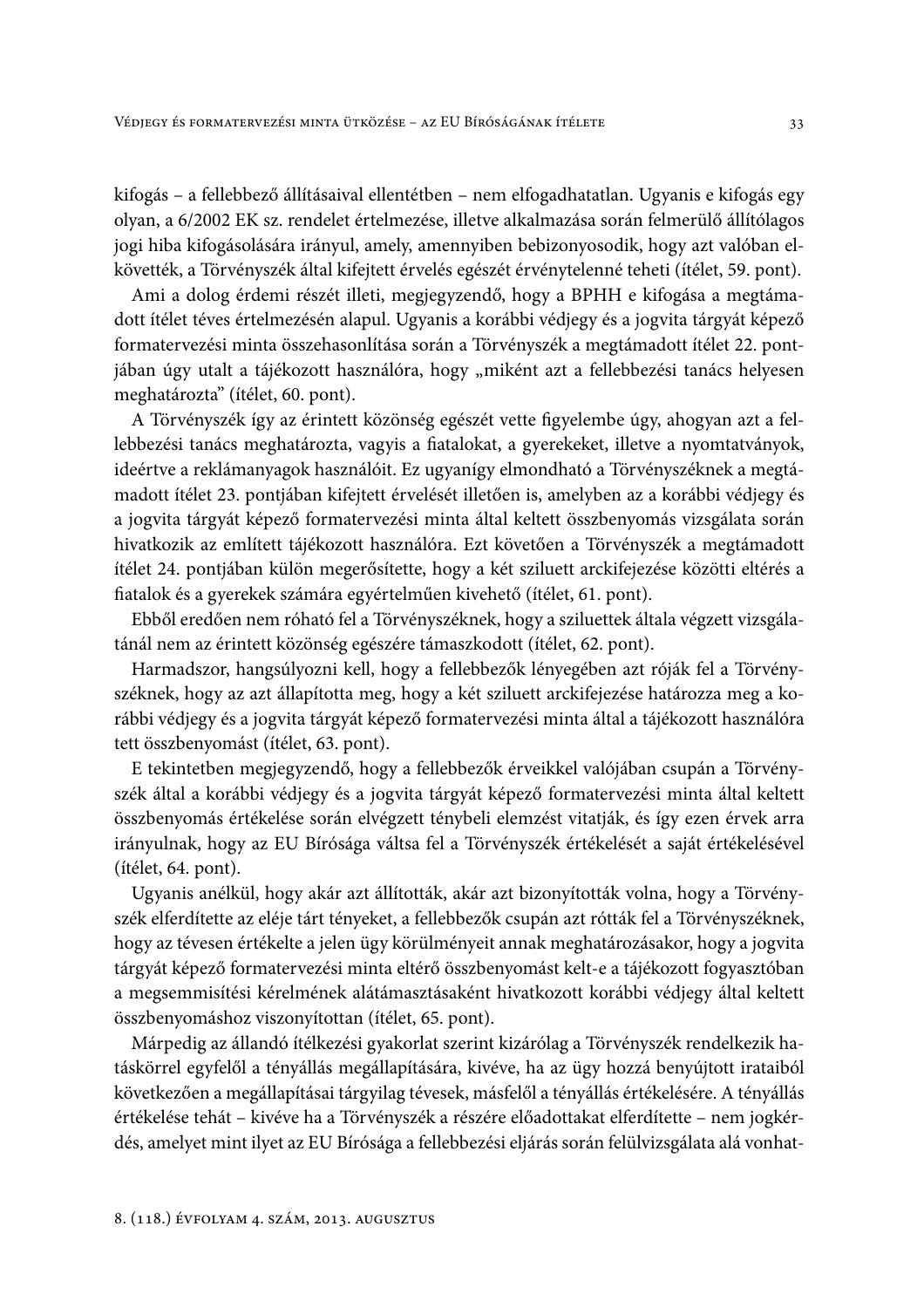kifogás - a fellebbező állításaival ellentétben - nem elfogadhatatlan. Ugyanis e kifogás egy olyan, a 6/2002 EK sz. rendelet értelmezése, illetve alkalmazása során felmerülő állítólagos jogi hiba kifogásolására irányul, amely, amennyiben bebizonyosodik, hogy azt valóban elkövették, a Törvényszék által kifejtett érvelés egészét érvénytelenné teheti (ítélet, 59. pont).

Ami a dolog érdemi részét illeti, megjegyzendő, hogy a BPHH e kifogása a megtámadott ítélet téves értelmezésén alapul. Ugyanis a korábbi védjegy és a jogyita tárgyát képező formatervezési minta összehasonlítása során a Törvényszék a megtámadott ítélet 22. pontjában úgy utalt a tájékozott használóra, hogy "miként azt a fellebbezési tanács helyesen meghatározta" (ítélet, 60. pont).

A Törvényszék így az érintett közönség egészét vette figyelembe úgy, ahogyan azt a fellebbezési tanács meghatározta, vagyis a fiatalokat, a gyerekeket, illetve a nyomtatványok, ideértve a reklámanyagok használóit. Ez ugyanígy elmondható a Törvényszéknek a megtámadott ítélet 23. pontjában kifejtett érvelését illetően is, amelyben az a korábbi védjegy és a jogvita tárgyát képező formatervezési minta által keltett összbenyomás vizsgálata során hivatkozik az említett tájékozott használóra. Ezt követően a Törvényszék a megtámadott ítélet 24. pontjában külön megerősítette, hogy a két sziluett arckifejezése közötti eltérés a fiatalok és a gyerekek számára egyértelműen kivehető (ítélet, 61. pont).

Ebből eredően nem róható fel a Törvényszéknek, hogy a sziluettek általa végzett vizsgálatánál nem az érintett közönség egészére támaszkodott (ítélet, 62. pont).

Harmadszor, hangsúlyozni kell, hogy a fellebbezők lényegében azt róják fel a Törvényszéknek, hogy az azt állapította meg, hogy a két sziluett arckifejezése határozza meg a korábbi védjegy és a jogvita tárgyát képező formatervezési minta által a tájékozott használóra tett összbenyomást (ítélet, 63. pont).

E tekintetben megjegyzendő, hogy a fellebbezők érveikkel valójában csupán a Törvényszék által a korábbi védjegy és a jogvita tárgyát képező formatervezési minta által keltett összbenyomás értékelése során elvégzett ténybeli elemzést vitatják, és így ezen érvek arra irányulnak, hogy az EU Bírósága váltsa fel a Törvényszék értékelését a saját értékelésével (ítélet, 64. pont).

Ugyanis anélkül, hogy akár azt állították, akár azt bizonyították volna, hogy a Törvényszék elferdítette az eléje tárt tényeket, a fellebbezők csupán azt rótták fel a Törvényszéknek, hogy az tévesen értékelte a jelen ügy körülményeit annak meghatározásakor, hogy a jogyita tárgyát képező formatervezési minta eltérő összbenyomást kelt-e a tájékozott fogyasztóban a megsemmisítési kérelmének alátámasztásaként hivatkozott korábbi védjegy által keltett összbenyomáshoz viszonyítottan (ítélet, 65. pont).

Márpedig az állandó ítélkezési gyakorlat szerint kizárólag a Törvényszék rendelkezik hatáskörrel egyfelől a tényállás megállapítására, kivéve, ha az ügy hozzá benyújtott irataiból következően a megállapításai tárgyilag tévesek, másfelől a tényállás értékelésére. A tényállás értékelése tehát – kivéve ha a Törvényszék a részére előadottakat elferdítette – nem jogkérdés, amelyet mint ilyet az EU Bírósága a fellebbezési eljárás során felülvizsgálata alá vonhat-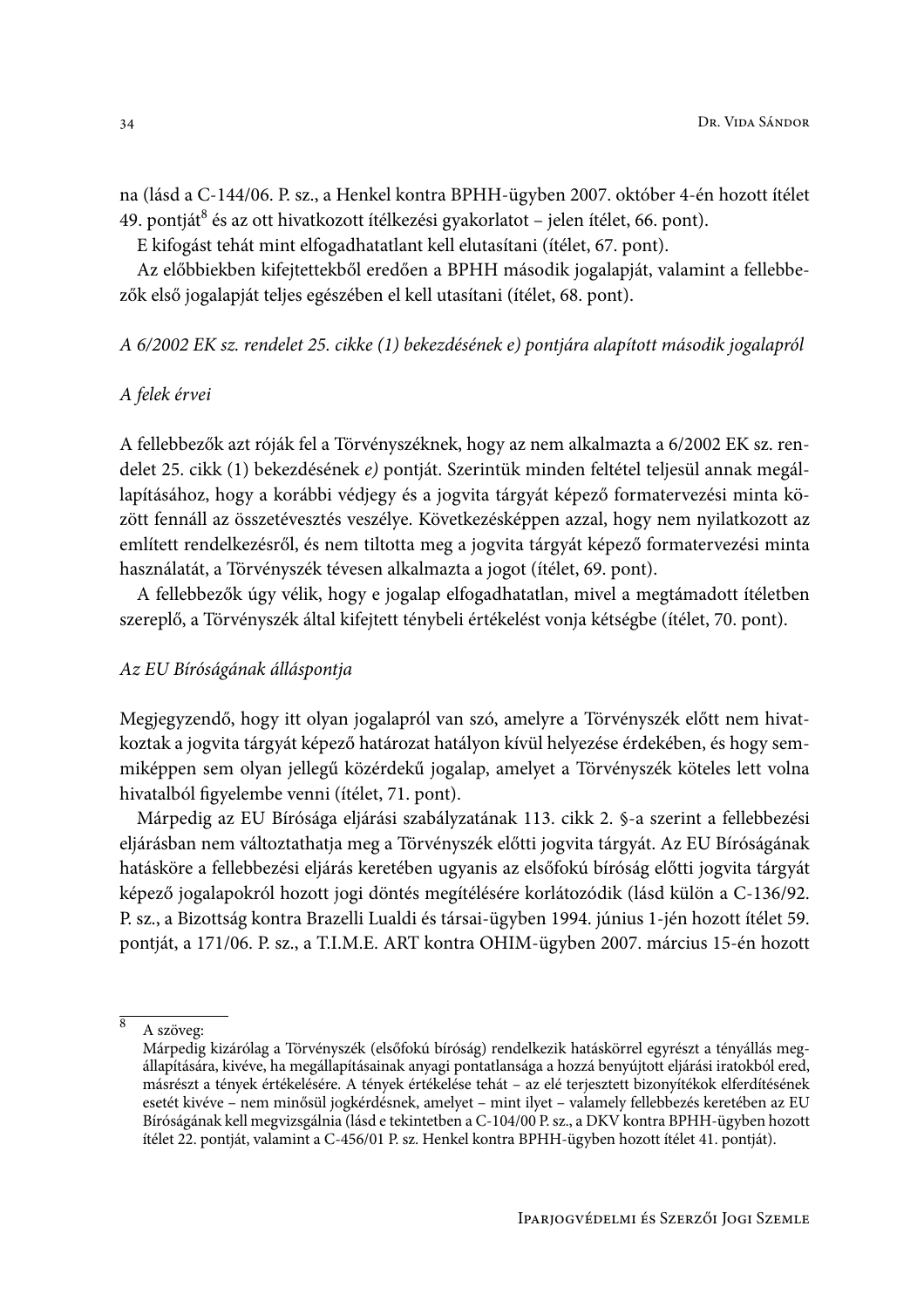na (lásd a C-144/06. P. sz., a Henkel kontra BPHH-ügyben 2007. október 4-én hozott ítélet 49. pontját $\delta$  és az ott hivatkozott ítélkezési gyakorlatot – jelen ítélet, 66. pont).

E kifogást tehát mint elfogadhatatlant kell elutasítani (ítélet, 67. pont).

Az előbbiekben kifejtettekből eredően a BPHH második jogalapját, valamint a fellebbezők első jogalapját teljes egészében el kell utasítani (ítélet, 68. pont).

A 6/2002 EK sz. rendelet 25. cikke (1) bekezdésének e) pontjára alapított második jogalapról

#### A felek érvei

A fellebbezők azt róják fel a Törvényszéknek, hogy az nem alkalmazta a 6/2002 EK sz. rendelet 25. cikk (1) bekezdésének e) pontját. Szerintük minden feltétel teljesül annak megállapításához, hogy a korábbi védjegy és a jogvita tárgyát képező formatervezési minta között fennáll az összetévesztés veszélye. Következésképpen azzal, hogy nem nyilatkozott az említett rendelkezésről, és nem tiltotta meg a jogvita tárgyát képező formatervezési minta használatát, a Törvényszék tévesen alkalmazta a jogot (ítélet, 69. pont).

A fellebbezők úgy vélik, hogy e jogalap elfogadhatatlan, mivel a megtámadott ítéletben szereplő, a Törvényszék által kifejtett ténybeli értékelést vonja kétségbe (ítélet, 70. pont).

#### Az EU Bíróságának álláspontja

Megjegyzendő, hogy itt olyan jogalapról van szó, amelyre a Törvényszék előtt nem hivatkoztak a jogyita tárgyát képező határozat hatályon kívül helyezése érdekében, és hogy semmiképpen sem olyan jellegű közérdekű jogalap, amelyet a Törvényszék köteles lett volna hivatalból figyelembe venni (ítélet, 71. pont).

Márpedig az EU Bírósága eljárási szabályzatának 113. cikk 2. §-a szerint a fellebbezési eljárásban nem változtathatja meg a Törvényszék előtti jogvita tárgyát. Az EU Bíróságának hatásköre a fellebbezési eljárás keretében ugyanis az elsőfokú bíróság előtti jogyita tárgyát képező jogalapokról hozott jogi döntés megítélésére korlátozódik (lásd külön a C-136/92. P. sz., a Bizottság kontra Brazelli Lualdi és társai-ügyben 1994. június 1-jén hozott ítélet 59. pontját, a 171/06. P. sz., a T.I.M.E. ART kontra OHIM-ügyben 2007. március 15-én hozott

 $\overline{8}$ A szöveg:

Márpedig kizárólag a Törvényszék (elsőfokú bíróság) rendelkezik hatáskörrel egyrészt a tényállás megállapítására, kivéve, ha megállapításainak anyagi pontatlansága a hozzá benyújtott eljárási iratokból ered, másrészt a tények értékelésére. A tények értékelése tehát – az elé terjesztett bizonyítékok elferdítésének esetét kivéve - nem minősül jogkérdésnek, amelyet - mint ilyet - valamely fellebbezés keretében az EU Bíróságának kell megvizsgálnia (lásd e tekintetben a C-104/00 P. sz., a DKV kontra BPHH-ügyben hozott ítélet 22. pontját, valamint a C-456/01 P. sz. Henkel kontra BPHH-ügyben hozott ítélet 41. pontját).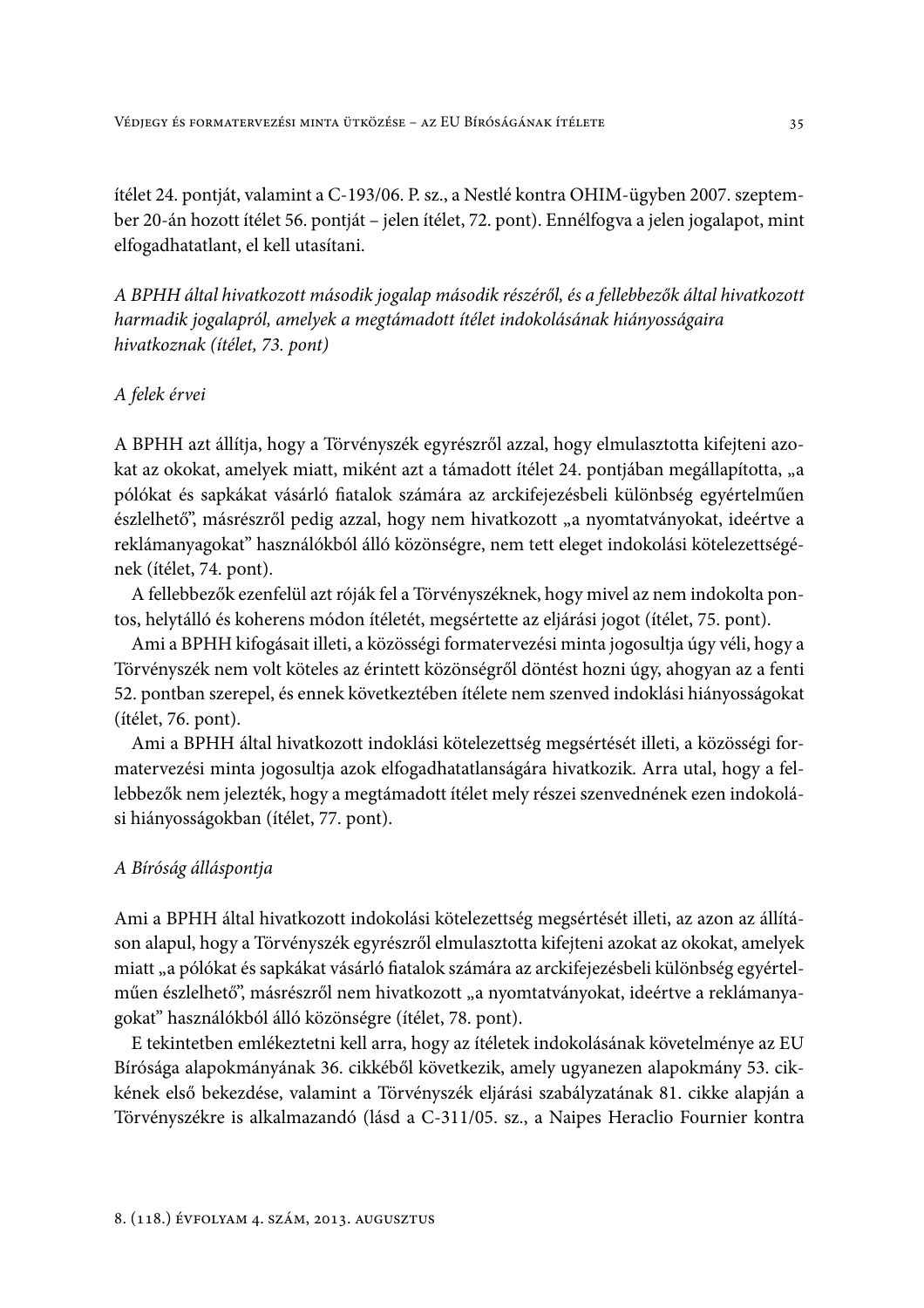ítélet 24. pontját, valamint a C-193/06. P. sz., a Nestlé kontra OHIM-ügyben 2007. szeptember 20-án hozott ítélet 56. pontját – jelen ítélet, 72. pont). Ennélfogva a jelen jogalapot, mint elfogadhatatlant, el kell utasítani.

A BPHH által hivatkozott második jogalap második részéről, és a fellebbezők által hivatkozott harmadik jogalapról, amelyek a megtámadott ítélet indokolásának hiányosságaira hivatkoznak (ítélet, 73. pont)

#### A felek érvei

A BPHH azt állítja, hogy a Törvényszék egyrészről azzal, hogy elmulasztotta kifejteni azokat az okokat, amelyek miatt, miként azt a támadott ítélet 24. pontjában megállapította, "a pólókat és sapkákat vásárló fiatalok számára az arckifejezésbeli különbség egyértelműen észlelhető", másrészről pedig azzal, hogy nem hivatkozott "a nyomtatványokat, ideértve a reklámanyagokat" használókból álló közönségre, nem tett eleget indokolási kötelezettségének (ítélet, 74. pont).

A fellebbezők ezenfelül azt róják fel a Törvényszéknek, hogy mivel az nem indokolta pontos, helytálló és koherens módon ítéletét, megsértette az eljárási jogot (ítélet, 75. pont).

Ami a BPHH kifogásait illeti, a közösségi formatervezési minta jogosultja úgy véli, hogy a Törvényszék nem volt köteles az érintett közönségről döntést hozni úgy, ahogyan az a fenti 52. pontban szerepel, és ennek következtében ítélete nem szenved indoklási hiányosságokat (ítélet, 76. pont).

Ami a BPHH által hivatkozott indoklási kötelezettség megsértését illeti, a közösségi formatervezési minta jogosultja azok elfogadhatatlanságára hivatkozik. Arra utal, hogy a fellebbezők nem jelezték, hogy a megtámadott ítélet mely részei szenvednének ezen indokolási hiányosságokban (ítélet, 77. pont).

#### A Bíróság álláspontja

Ami a BPHH által hivatkozott indokolási kötelezettség megsértését illeti, az azon az állításon alapul, hogy a Törvényszék egyrészről elmulasztotta kifejteni azokat az okokat, amelyek miatt "a pólókat és sapkákat vásárló fiatalok számára az arckifejezésbeli különbség egyértelműen észlelhető", másrészről nem hivatkozott "a nyomtatványokat, ideértve a reklámanyagokat" használókból álló közönségre (ítélet, 78. pont).

E tekintetben emlékeztetni kell arra, hogy az ítéletek indokolásának követelménye az EU Bírósága alapokmányának 36. cikkéből következik, amely ugyanezen alapokmány 53. cikkének első bekezdése, valamint a Törvényszék eljárási szabályzatának 81. cikke alapján a Törvényszékre is alkalmazandó (lásd a C-311/05. sz., a Naipes Heraclio Fournier kontra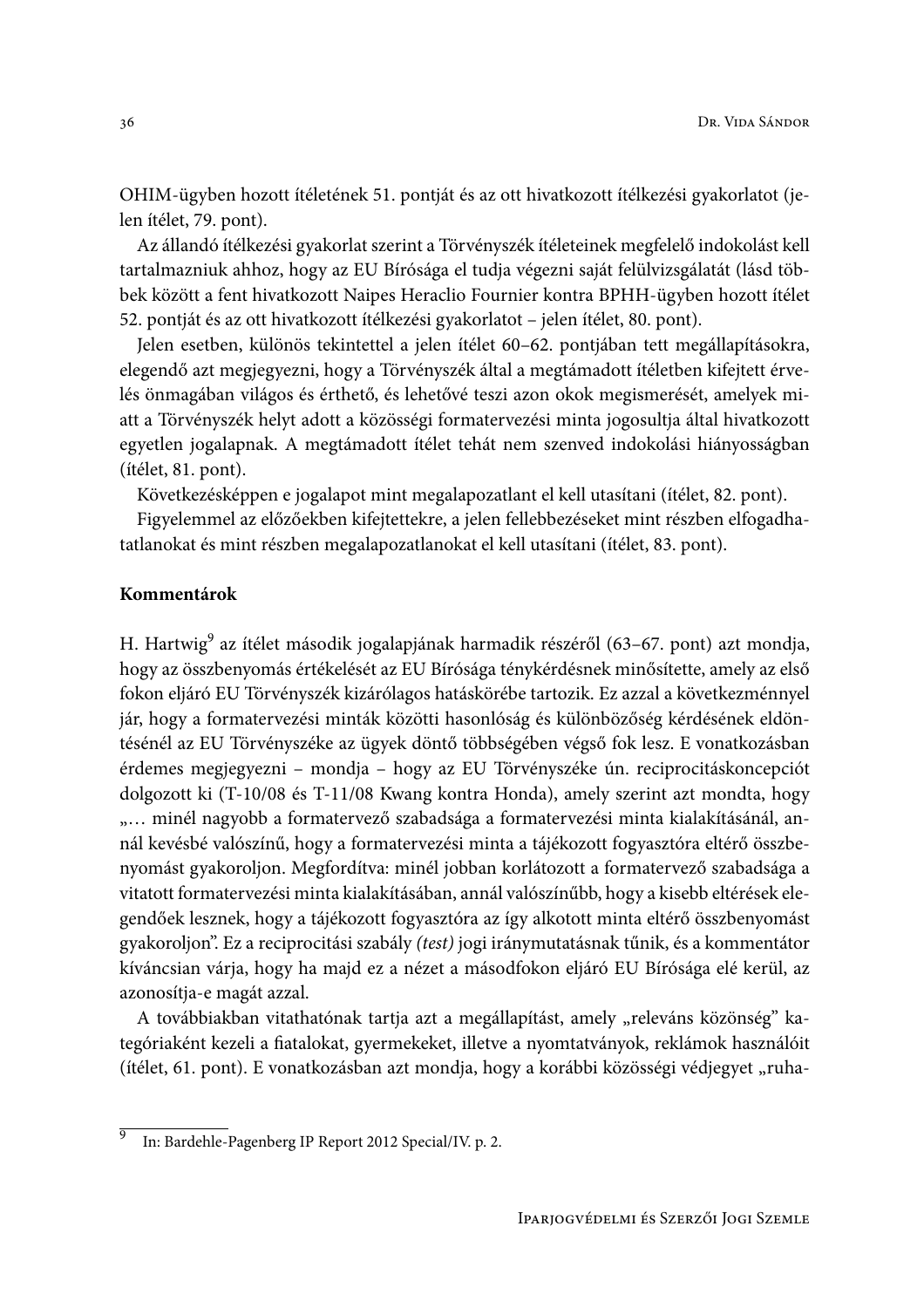OHIM-ügyben hozott ítéletének 51. pontját és az ott hivatkozott ítélkezési gyakorlatot (jelen ítélet, 79. pont).

Az állandó ítélkezési gyakorlat szerint a Törvényszék ítéleteinek megfelelő indokolást kell tartalmazniuk ahhoz, hogy az EU Bírósága el tudja végezni saját felülvizsgálatát (lásd többek között a fent hivatkozott Naipes Heraclio Fournier kontra BPHH-ügyben hozott ítélet 52. pontját és az ott hivatkozott ítélkezési gyakorlatot – jelen ítélet, 80. pont).

Jelen esetben, különös tekintettel a jelen ítélet 60–62. pontjában tett megállapításokra, elegendő azt megjegyezni, hogy a Törvényszék által a megtámadott ítéletben kifejtett érvelés önmagában világos és érthető, és lehetővé teszi azon okok megismerését, amelyek miatt a Törvényszék helyt adott a közösségi formatervezési minta jogosultja által hivatkozott egyetlen jogalapnak. A megtámadott ítélet tehát nem szenved indokolási hiányosságban (ítélet, 81. pont).

Következésképpen e jogalapot mint megalapozatlant el kell utasítani (ítélet, 82. pont).

Figyelemmel az előzőekben kifejtettekre, a jelen fellebbezéseket mint részben elfogadhatatlanokat és mint részben megalapozatlanokat el kell utasítani (ítélet, 83. pont).

#### Kommentárok

H. Hartwig<sup>9</sup> az ítélet második jogalapjának harmadik részéről (63–67. pont) azt mondja, hogy az összbenyomás értékelését az EU Bírósága ténykérdésnek minősítette, amely az első fokon eljáró EU Törvényszék kizárólagos hatáskörébe tartozik. Ez azzal a következménnyel jár, hogy a formatervezési minták közötti hasonlóság és különbözőség kérdésének eldöntésénél az EU Törvényszéke az ügyek döntő többségében végső fok lesz. E vonatkozásban érdemes megjegyezni - mondja - hogy az EU Törvényszéke ún. reciprocitáskoncepciót dolgozott ki (T-10/08 és T-11/08 Kwang kontra Honda), amely szerint azt mondta, hogy "... minél nagyobb a formatervező szabadsága a formatervezési minta kialakításánál, annál kevésbé valószínű, hogy a formatervezési minta a tájékozott fogyasztóra eltérő összbenyomást gyakoroljon. Megfordítva: minél jobban korlátozott a formatervező szabadsága a vitatott formatervezési minta kialakításában, annál valószínűbb, hogy a kisebb eltérések elegendőek lesznek, hogy a tájékozott fogyasztóra az így alkotott minta eltérő összbenyomást gyakoroljon". Ez a reciprocitási szabály (test) jogi iránymutatásnak tűnik, és a kommentátor kíváncsian várja, hogy ha majd ez a nézet a másodfokon eljáró EU Bírósága elé kerül, az azonosítja-e magát azzal.

A továbbiakban vitathatónak tartja azt a megállapítást, amely "releváns közönség" kategóriaként kezeli a fiatalokat, gyermekeket, illetve a nyomtatványok, reklámok használóit (ítélet, 61. pont). E vonatkozásban azt mondja, hogy a korábbi közösségi védjegyet "ruha-

 $\overline{9}$ In: Bardehle-Pagenberg IP Report 2012 Special/IV. p. 2.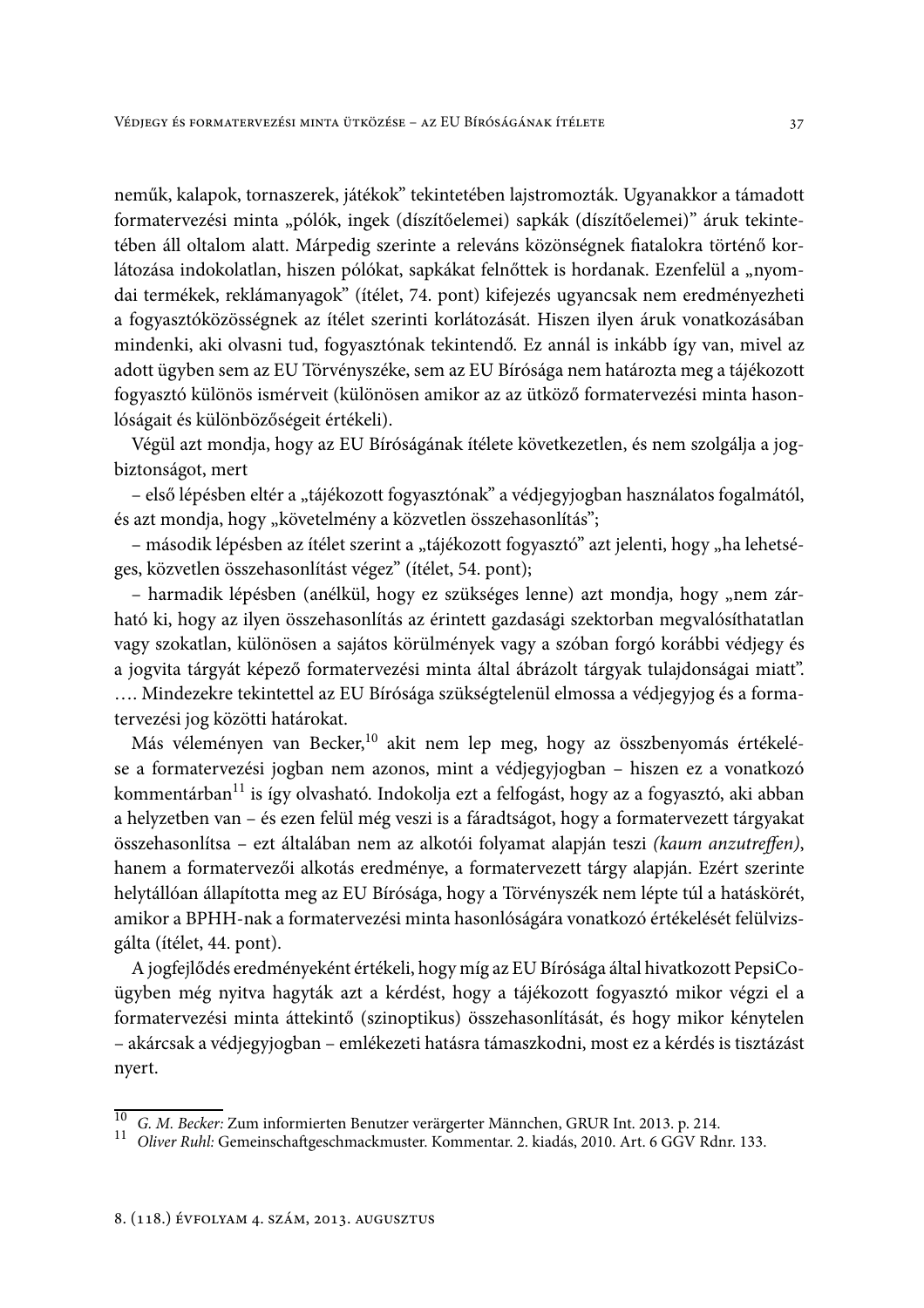neműk, kalapok, tornaszerek, játékok" tekintetében lajstromozták. Ugyanakkor a támadott formatervezési minta "pólók, ingek (díszítőelemei) sapkák (díszítőelemei)" áruk tekintetében áll oltalom alatt. Márpedig szerinte a releváns közönségnek fiatalokra történő korlátozása indokolatlan, hiszen pólókat, sapkákat felnőttek is hordanak. Ezenfelül a "nyomdai termékek, reklámanyagok" (ítélet, 74. pont) kifejezés ugyancsak nem eredményezheti a fogyasztóközösségnek az ítélet szerinti korlátozását. Hiszen ilyen áruk vonatkozásában mindenki, aki olvasni tud, fogyasztónak tekintendő. Ez annál is inkább így van, mivel az adott ügyben sem az EU Törvényszéke, sem az EU Bírósága nem határozta meg a tájékozott fogyasztó különös ismérveit (különösen amikor az az ütköző formatervezési minta hasonlóságait és különbözőségeit értékeli).

Végül azt mondja, hogy az EU Bíróságának ítélete következetlen, és nem szolgálja a jogbiztonságot, mert

- első lépésben eltér a "tájékozott fogyasztónak" a védjegyjogban használatos fogalmától, és azt mondja, hogy "követelmény a közvetlen összehasonlítás";

- második lépésben az ítélet szerint a "tájékozott fogyasztó" azt jelenti, hogy "ha lehetséges, közvetlen összehasonlítást végez" (ítélet, 54. pont);

- harmadik lépésben (anélkül, hogy ez szükséges lenne) azt mondja, hogy "nem zárható ki, hogy az ilyen összehasonlítás az érintett gazdasági szektorban megvalósíthatatlan vagy szokatlan, különösen a sajátos körülmények vagy a szóban forgó korábbi védjegy és a jogvita tárgyát képező formatervezési minta által ábrázolt tárgyak tulajdonságai miatt". .... Mindezekre tekintettel az EU Bírósága szükségtelenül elmossa a védjegyjog és a formatervezési jog közötti határokat.

Más véleményen van Becker,<sup>10</sup> akit nem lep meg, hogy az összbenyomás értékelése a formatervezési jogban nem azonos, mint a védjegyjogban - hiszen ez a vonatkozó kommentárban<sup>11</sup> is így olvasható. Indokolja ezt a felfogást, hogy az a fogyasztó, aki abban a helyzetben van - és ezen felül még veszi is a fáradtságot, hogy a formatervezett tárgyakat összehasonlítsa – ezt általában nem az alkotói folyamat alapján teszi (kaum anzutreffen), hanem a formatervezői alkotás eredménye, a formatervezett tárgy alapján. Ezért szerinte helytállóan állapította meg az EU Bírósága, hogy a Törvényszék nem lépte túl a hatáskörét, amikor a BPHH-nak a formatervezési minta hasonlóságára vonatkozó értékelését felülvizsgálta (ítélet, 44. pont).

A jogfejlődés eredményeként értékeli, hogy míg az EU Bírósága által hivatkozott PepsiCoügyben még nyitva hagyták azt a kérdést, hogy a tájékozott fogyasztó mikor végzi el a formatervezési minta áttekintő (szinoptikus) összehasonlítását, és hogy mikor kénytelen - akárcsak a védjegyjogban - emlékezeti hatásra támaszkodni, most ez a kérdés is tisztázást nyert.

 $\overline{10}$ G. M. Becker: Zum informierten Benutzer verärgerter Männchen, GRUR Int. 2013. p. 214.

 $11$ Oliver Ruhl: Gemeinschaftgeschmackmuster. Kommentar. 2. kiadás, 2010. Art. 6 GGV Rdnr. 133.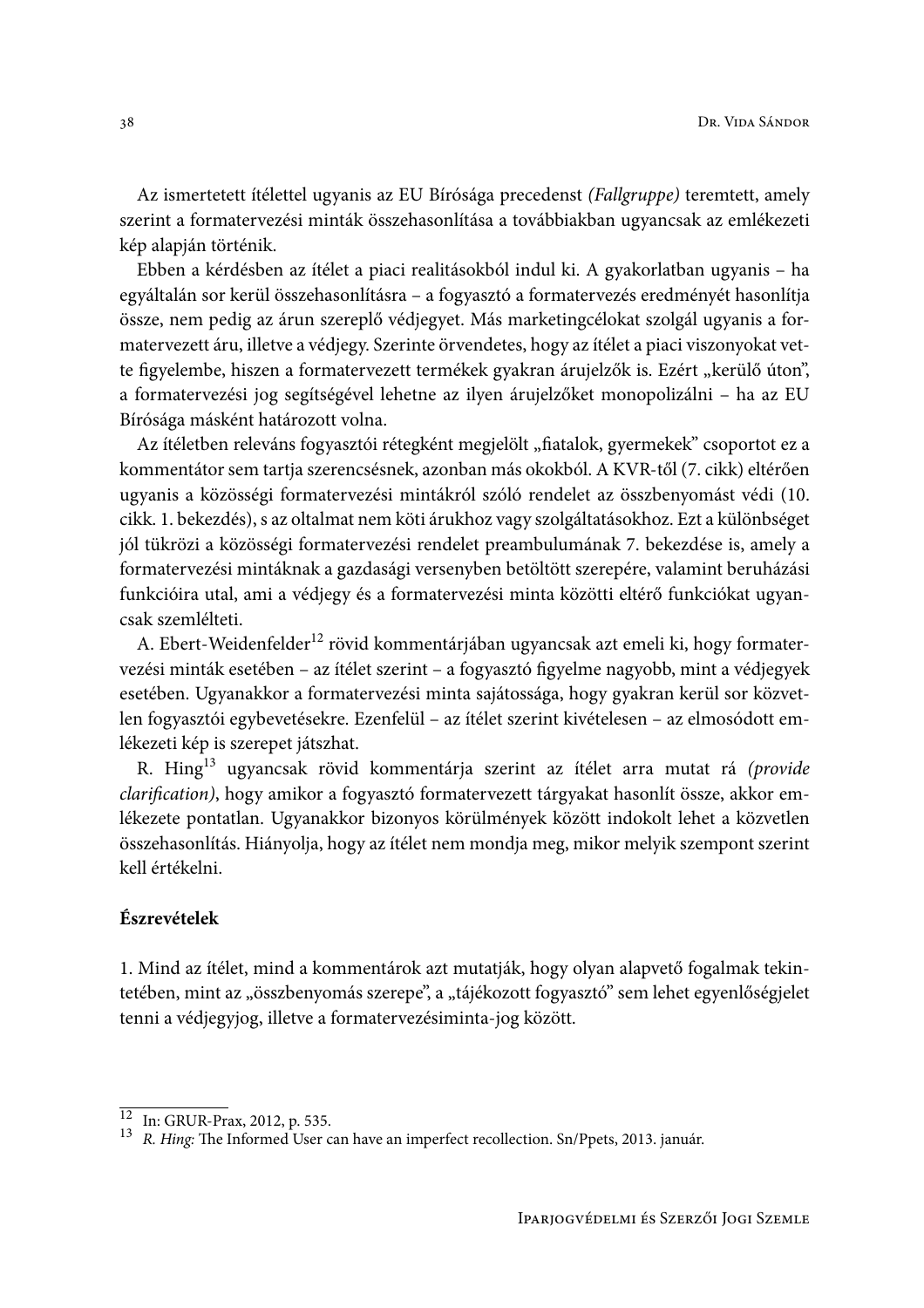Az ismertetett ítélettel ugyanis az EU Bírósága precedenst (Fallgruppe) teremtett, amely szerint a formatervezési minták összehasonlítása a továbbiakban ugyancsak az emlékezeti kép alapján történik.

Ebben a kérdésben az ítélet a piaci realitásokból indul ki. A gyakorlatban ugyanis – ha egyáltalán sor kerül összehasonlításra - a fogyasztó a formatervezés eredményét hasonlítja össze, nem pedig az árun szereplő védjegyet. Más marketingcélokat szolgál ugyanis a formatervezett áru, illetve a védjegy. Szerinte örvendetes, hogy az ítélet a piaci viszonyokat vette figyelembe, hiszen a formatervezett termékek gyakran árujelzők is. Ezért "kerülő úton", a formatervezési jog segítségével lehetne az ilyen árujelzőket monopolizálni - ha az EU Bírósága másként határozott volna.

Az ítéletben releváns fogyasztói rétegként megjelölt "fiatalok, gyermekek" csoportot ez a kommentátor sem tartja szerencsésnek, azonban más okokból. A KVR-től (7. cikk) eltérően ugyanis a közösségi formatervezési mintákról szóló rendelet az összbenyomást védi (10. cikk. 1. bekezdés), s az oltalmat nem köti árukhoz vagy szolgáltatásokhoz. Ezt a különbséget jól tükrözi a közösségi formatervezési rendelet preambulumának 7. bekezdése is, amely a formatervezési mintáknak a gazdasági versenyben betöltött szerepére, valamint beruházási funkcióira utal, ami a védjegy és a formatervezési minta közötti eltérő funkciókat ugyancsak szemlélteti.

A. Ebert-Weidenfelder<sup>12</sup> rövid kommentárjában ugyancsak azt emeli ki, hogy formatervezési minták esetében – az ítélet szerint – a fogyasztó figyelme nagyobb, mint a védjegyek esetében. Ugyanakkor a formatervezési minta sajátossága, hogy gyakran kerül sor közvetlen fogyasztói egybevetésekre. Ezenfelül – az ítélet szerint kivételesen – az elmosódott emlékezeti kép is szerepet játszhat.

R. Hing<sup>13</sup> ugyancsak rövid kommentárja szerint az ítélet arra mutat rá (*provide* clarification), hogy amikor a fogyasztó formatervezett tárgyakat hasonlít össze, akkor emlékezete pontatlan. Ugyanakkor bizonyos körülmények között indokolt lehet a közvetlen összehasonlítás. Hiányolja, hogy az ítélet nem mondja meg, mikor melyik szempont szerint kell értékelni.

### Észrevételek

1. Mind az ítélet, mind a kommentárok azt mutatják, hogy olyan alapvető fogalmak tekintetében, mint az "összbenyomás szerepe", a "tájékozott fogyasztó" sem lehet egyenlőségjelet tenni a védjegyjog, illetve a formatervezésiminta-jog között.

 $\frac{12}{13}$  In: GRUR-Prax, 2012, p. 535.<br>  $R. Hing:$  The Informed User can have an imperfect recollection. Sn/Ppets, 2013. január.